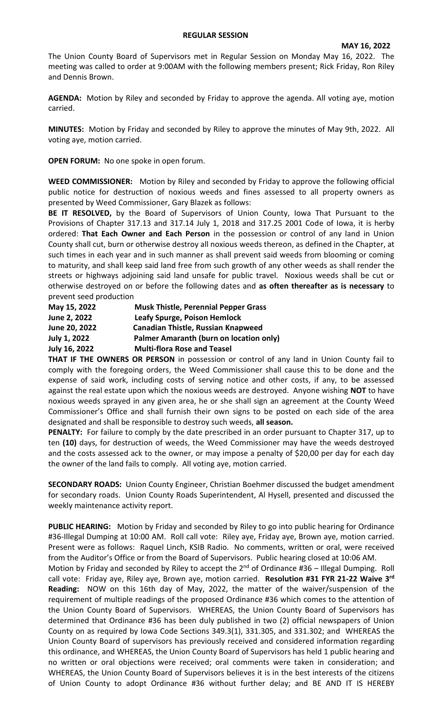#### **REGULAR SESSION**

The Union County Board of Supervisors met in Regular Session on Monday May 16, 2022. The meeting was called to order at 9:00AM with the following members present; Rick Friday, Ron Riley and Dennis Brown.

**AGENDA:** Motion by Riley and seconded by Friday to approve the agenda. All voting aye, motion carried.

**MINUTES:** Motion by Friday and seconded by Riley to approve the minutes of May 9th, 2022. All voting aye, motion carried.

**OPEN FORUM:** No one spoke in open forum.

**WEED COMMISSIONER:** Motion by Riley and seconded by Friday to approve the following official public notice for destruction of noxious weeds and fines assessed to all property owners as presented by Weed Commissioner, Gary Blazek as follows:

**BE IT RESOLVED,** by the Board of Supervisors of Union County, Iowa That Pursuant to the Provisions of Chapter 317.13 and 317.14 July 1, 2018 and 317.25 2001 Code of Iowa, it is herby ordered: **That Each Owner and Each Person** in the possession or control of any land in Union County shall cut, burn or otherwise destroy all noxious weeds thereon, as defined in the Chapter, at such times in each year and in such manner as shall prevent said weeds from blooming or coming to maturity, and shall keep said land free from such growth of any other weeds as shall render the streets or highways adjoining said land unsafe for public travel. Noxious weeds shall be cut or otherwise destroyed on or before the following dates and **as often thereafter as is necessary** to prevent seed production

| <b>Musk Thistle, Perennial Pepper Grass</b> |
|---------------------------------------------|
| Leafy Spurge, Poison Hemlock                |
| <b>Canadian Thistle, Russian Knapweed</b>   |
| Palmer Amaranth (burn on location only)     |
| <b>Multi-flora Rose and Teasel</b>          |
|                                             |

**THAT IF THE OWNERS OR PERSON** in possession or control of any land in Union County fail to comply with the foregoing orders, the Weed Commissioner shall cause this to be done and the expense of said work, including costs of serving notice and other costs, if any, to be assessed against the real estate upon which the noxious weeds are destroyed. Anyone wishing **NOT** to have noxious weeds sprayed in any given area, he or she shall sign an agreement at the County Weed Commissioner's Office and shall furnish their own signs to be posted on each side of the area designated and shall be responsible to destroy such weeds, **all season.** 

**PENALTY:** For failure to comply by the date prescribed in an order pursuant to Chapter 317, up to ten **(10)** days, for destruction of weeds, the Weed Commissioner may have the weeds destroyed and the costs assessed ack to the owner, or may impose a penalty of \$20,00 per day for each day the owner of the land fails to comply. All voting aye, motion carried.

**SECONDARY ROADS:** Union County Engineer, Christian Boehmer discussed the budget amendment for secondary roads. Union County Roads Superintendent, Al Hysell, presented and discussed the weekly maintenance activity report.

**PUBLIC HEARING:** Motion by Friday and seconded by Riley to go into public hearing for Ordinance #36-Illegal Dumping at 10:00 AM. Roll call vote: Riley aye, Friday aye, Brown aye, motion carried. Present were as follows: Raquel Linch, KSIB Radio. No comments, written or oral, were received from the Auditor's Office or from the Board of Supervisors. Public hearing closed at 10:06 AM.

Motion by Friday and seconded by Riley to accept the 2<sup>nd</sup> of Ordinance #36 - Illegal Dumping. Roll call vote: Friday aye, Riley aye, Brown aye, motion carried. **Resolution #31 FYR 21-22 Waive 3rd Reading:** NOW on this 16th day of May, 2022, the matter of the waiver/suspension of the requirement of multiple readings of the proposed Ordinance #36 which comes to the attention of the Union County Board of Supervisors. WHEREAS, the Union County Board of Supervisors has determined that Ordinance #36 has been duly published in two (2) official newspapers of Union County on as required by Iowa Code Sections 349.3(1), 331.305, and 331.302; and WHEREAS the Union County Board of supervisors has previously received and considered information regarding this ordinance, and WHEREAS, the Union County Board of Supervisors has held 1 public hearing and no written or oral objections were received; oral comments were taken in consideration; and WHEREAS, the Union County Board of Supervisors believes it is in the best interests of the citizens of Union County to adopt Ordinance #36 without further delay; and BE AND IT IS HEREBY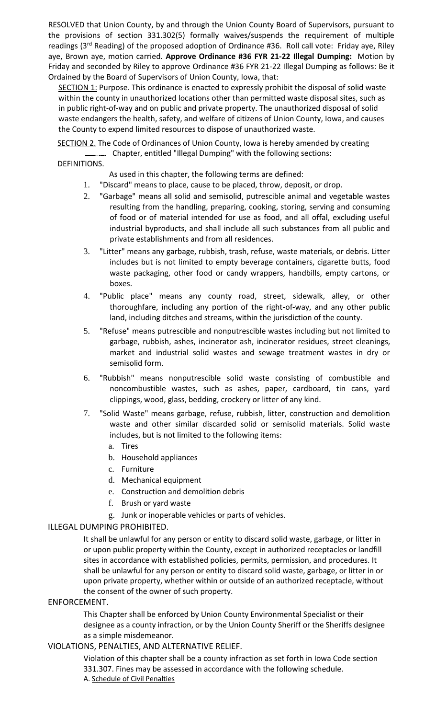RESOLVED that Union County, by and through the Union County Board of Supervisors, pursuant to the provisions of section 331.302(5) formally waives/suspends the requirement of multiple readings (3<sup>rd</sup> Reading) of the proposed adoption of Ordinance #36. Roll call vote: Friday aye, Riley aye, Brown aye, motion carried. **Approve Ordinance #36 FYR 21-22 Illegal Dumping:** Motion by Friday and seconded by Riley to approve Ordinance #36 FYR 21-22 Illegal Dumping as follows: Be it Ordained by the Board of Supervisors of Union County, Iowa, that:

SECTION 1: Purpose. This ordinance is enacted to expressly prohibit the disposal of solid waste within the county in unauthorized locations other than permitted waste disposal sites, such as in public right-of-way and on public and private property. The unauthorized disposal of solid waste endangers the health, safety, and welfare of citizens of Union County, Iowa, and causes the County to expend limited resources to dispose of unauthorized waste.

SECTION 2. The Code of Ordinances of Union County, Iowa is hereby amended by creating Chapter, entitled "Illegal Dumping" with the following sections:

#### DEFINITIONS.

As used in this chapter, the following terms are defined:

- 1. "Discard" means to place, cause to be placed, throw, deposit, or drop.
- 2. "Garbage" means all solid and semisolid, putrescible animal and vegetable wastes resulting from the handling, preparing, cooking, storing, serving and consuming of food or of material intended for use as food, and all offal, excluding useful industrial byproducts, and shall include all such substances from all public and private establishments and from all residences.
- 3. "Litter" means any garbage, rubbish, trash, refuse, waste materials, or debris. Litter includes but is not limited to empty beverage containers, cigarette butts, food waste packaging, other food or candy wrappers, handbills, empty cartons, or boxes.
- 4. "Public place" means any county road, street, sidewalk, alley, or other thoroughfare, including any portion of the right-of-way, and any other public land, including ditches and streams, within the jurisdiction of the county.
- 5. "Refuse" means putrescible and nonputrescible wastes including but not limited to garbage, rubbish, ashes, incinerator ash, incinerator residues, street cleanings, market and industrial solid wastes and sewage treatment wastes in dry or semisolid form.
- 6. "Rubbish" means nonputrescible solid waste consisting of combustible and noncombustible wastes, such as ashes, paper, cardboard, tin cans, yard clippings, wood, glass, bedding, crockery or litter of any kind.
- 7. "Solid Waste" means garbage, refuse, rubbish, litter, construction and demolition waste and other similar discarded solid or semisolid materials. Solid waste includes, but is not limited to the following items:
	- a. Tires
	- b. Household appliances
	- c. Furniture
	- d. Mechanical equipment
	- e. Construction and demolition debris
	- f. Brush or yard waste
	- g. Junk or inoperable vehicles or parts of vehicles.

## ILLEGAL DUMPING PROHIBITED.

It shall be unlawful for any person or entity to discard solid waste, garbage, or litter in or upon public property within the County, except in authorized receptacles or landfill sites in accordance with established policies, permits, permission, and procedures. It shall be unlawful for any person or entity to discard solid waste, garbage, or litter in or upon private property, whether within or outside of an authorized receptacle, without the consent of the owner of such property.

## ENFORCEMENT.

This Chapter shall be enforced by Union County Environmental Specialist or their designee as a county infraction, or by the Union County Sheriff or the Sheriffs designee as a simple misdemeanor.

## VIOLATIONS, PENALTIES, AND ALTERNATIVE RELIEF.

Violation of this chapter shall be a county infraction as set forth in Iowa Code section 331.307. Fines may be assessed in accordance with the following schedule. A. Schedule of Civil Penalties